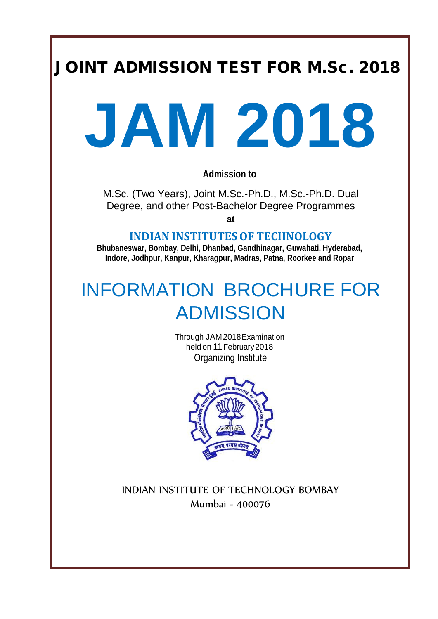# JOINT ADMISSION TEST FOR M.Sc. 2018



**Admission to**

M.Sc. (Two Years), Joint M.Sc.-Ph.D., M.Sc.-Ph.D. Dual Degree, and other Post-Bachelor Degree Programmes

**at**

**INDIAN INSTITUTES OF TECHNOLOGY** 

**Bhubaneswar, Bombay, Delhi, Dhanbad, Gandhinagar, Guwahati, Hyderabad, Indore, Jodhpur, Kanpur, Kharagpur, Madras, Patna, Roorkee and Ropar**

# INFORMATION BROCHURE FOR ADMISSION

Through JAM2018Examination heldon 11 February2018 Organizing Institute



INDIAN INSTITUTE OF TECHNOLOGY BOMBAY Mumbai - 400076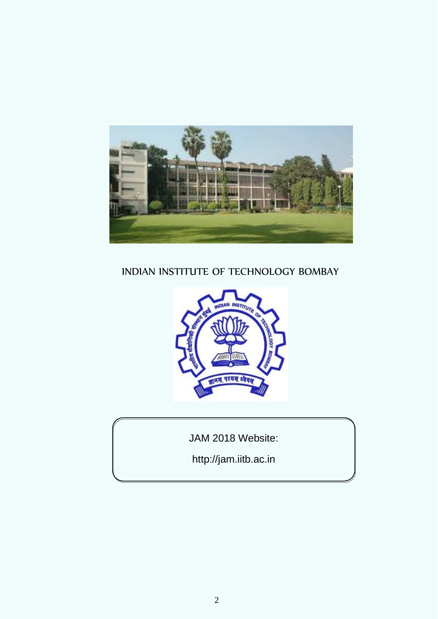

## INDIAN INSTITUTE OF TECHNOLOGY BOMBAY



JAM 2018 Website:

http://jam.iitb.ac.in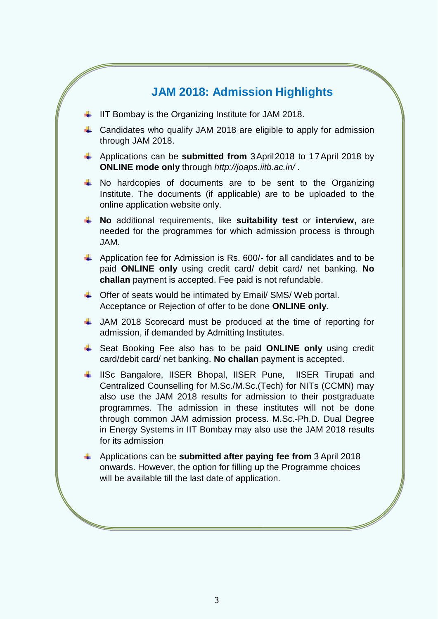## **JAM 2018: Admission Highlights**

- $\downarrow$  IIT Bombay is the Organizing Institute for JAM 2018.
- $\ddot{\phantom{1}}$  Candidates who qualify JAM 2018 are eligible to apply for admission through JAM 2018.
- Applications can be **submitted from** 3April2018 to 17April 2018 by **ONLINE mode only** through *[http://joaps.iitb.ac.in/](http://joaps.iitd.ac.in/) .*
- $\uparrow$  No hardcopies of documents are to be sent to the Organizing Institute. The documents (if applicable) are to be uploaded to the online application website only.
- **No** additional requirements, like **suitability test** or **interview,** are needed for the programmes for which admission process is through JAM.
- Application fee for Admission is Rs.  $600/$  for all candidates and to be paid **ONLINE only** using credit card/ debit card/ net banking. **No challan** payment is accepted. Fee paid is not refundable.
- $\triangleq$  Offer of seats would be intimated by Email/ SMS/ Web portal. Acceptance or Rejection of offer to be done **ONLINE only**.
- JAM 2018 Scorecard must be produced at the time of reporting for admission, if demanded by Admitting Institutes.
- Seat Booking Fee also has to be paid **ONLINE only** using credit card/debit card/ net banking. **No challan** payment is accepted.
- ↓ IISc Bangalore, IISER Bhopal, IISER Pune, IISER Tirupati and Centralized Counselling for M.Sc./M.Sc.(Tech) for NITs (CCMN) may also use the JAM 2018 results for admission to their postgraduate programmes. The admission in these institutes will not be done through common JAM admission process. M.Sc.-Ph.D. Dual Degree in Energy Systems in IIT Bombay may also use the JAM 2018 results for its admission
- Applications can be **submitted after paying fee from** 3 April 2018 onwards. However, the option for filling up the Programme choices will be available till the last date of application.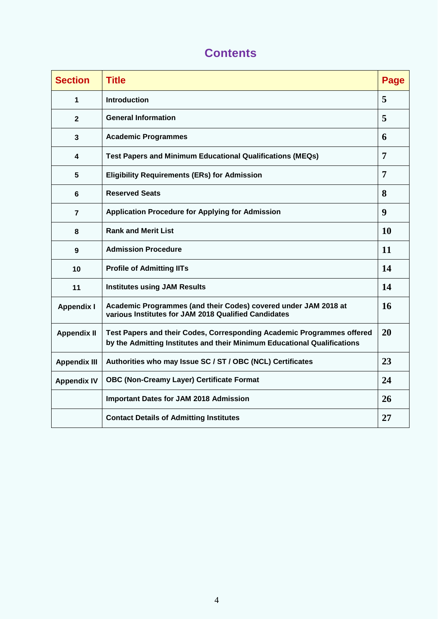| <b>Section</b>      | <b>Title</b>                                                                                                                                       | Page             |
|---------------------|----------------------------------------------------------------------------------------------------------------------------------------------------|------------------|
| 1                   | <b>Introduction</b>                                                                                                                                | 5                |
| $\overline{2}$      | <b>General Information</b>                                                                                                                         | 5                |
| $\mathbf{3}$        | <b>Academic Programmes</b>                                                                                                                         | 6                |
| 4                   | <b>Test Papers and Minimum Educational Qualifications (MEQs)</b>                                                                                   | $\overline{7}$   |
| 5                   | <b>Eligibility Requirements (ERs) for Admission</b>                                                                                                | $\overline{7}$   |
| $6\phantom{1}$      | <b>Reserved Seats</b>                                                                                                                              | 8                |
| $\overline{7}$      | <b>Application Procedure for Applying for Admission</b>                                                                                            | $\boldsymbol{9}$ |
| 8                   | <b>Rank and Merit List</b>                                                                                                                         | 10               |
| 9                   | <b>Admission Procedure</b>                                                                                                                         | 11               |
| 10                  | <b>Profile of Admitting IITs</b>                                                                                                                   | 14               |
| 11                  | <b>Institutes using JAM Results</b>                                                                                                                | 14               |
| <b>Appendix I</b>   | Academic Programmes (and their Codes) covered under JAM 2018 at<br>various Institutes for JAM 2018 Qualified Candidates                            | 16               |
| <b>Appendix II</b>  | Test Papers and their Codes, Corresponding Academic Programmes offered<br>by the Admitting Institutes and their Minimum Educational Qualifications | 20               |
| <b>Appendix III</b> | Authorities who may Issue SC / ST / OBC (NCL) Certificates                                                                                         | 23               |
| <b>Appendix IV</b>  | <b>OBC (Non-Creamy Layer) Certificate Format</b>                                                                                                   | 24               |
|                     | <b>Important Dates for JAM 2018 Admission</b>                                                                                                      | 26               |
|                     | <b>Contact Details of Admitting Institutes</b>                                                                                                     | 27               |

## **Contents**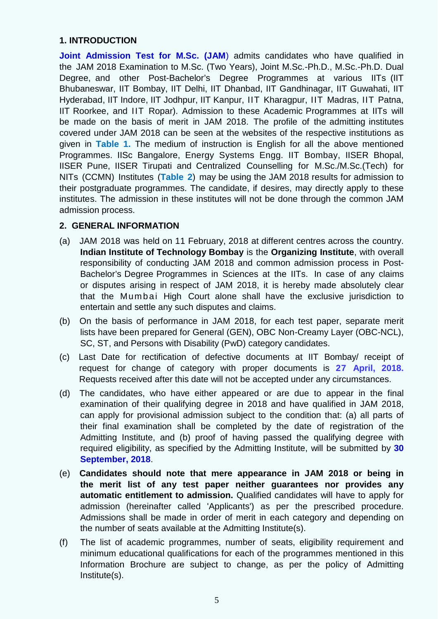### **1. INTRODUCTION**

**Joint Admission Test for M.Sc. (JAM**) admits candidates who have qualified in the JAM 2018 Examination to M.Sc. (Two Years), Joint M.Sc.-Ph.D., M.Sc.-Ph.D. Dual Degree, and other Post-Bachelor's Degree Programmes at various IITs (IIT Bhubaneswar, IIT Bombay, IIT Delhi, IIT Dhanbad, IIT Gandhinagar, IIT Guwahati, IIT Hyderabad, IIT Indore, IIT Jodhpur, IIT Kanpur, IIT Kharagpur, IIT Madras, IIT Patna, IIT Roorkee, and IIT Ropar). Admission to these Academic Programmes at IITs will be made on the basis of merit in JAM 2018. The profile of the admitting institutes covered under JAM 2018 can be seen at the websites of the respective institutions as given in **Table 1.** The medium of instruction is English for all the above mentioned Programmes. IISc Bangalore, Energy Systems Engg. IIT Bombay, IISER Bhopal, IISER Pune, IISER Tirupati and Centralized Counselling for M.Sc./M.Sc.(Tech) for NITs (CCMN) Institutes (**Table 2**) may be using the JAM 2018 results for admission to their postgraduate programmes. The candidate, if desires, may directly apply to these institutes. The admission in these institutes will not be done through the common JAM admission process.

### **2. GENERAL INFORMATION**

- (a) JAM 2018 was held on 11 February, 2018 at different centres across the country. **Indian Institute of Technology Bombay** is the **Organizing Institute**, with overall responsibility of conducting JAM 2018 and common admission process in Post-Bachelor's Degree Programmes in Sciences at the IITs. In case of any claims or disputes arising in respect of JAM 2018, it is hereby made absolutely clear that the Mumbai High Court alone shall have the exclusive jurisdiction to entertain and settle any such disputes and claims.
- (b) On the basis of performance in JAM 2018, for each test paper, separate merit lists have been prepared for General (GEN), OBC Non-Creamy Layer (OBC-NCL), SC, ST, and Persons with Disability (PwD) category candidates.
- (c) Last Date for rectification of defective documents at IIT Bombay/ receipt of request for change of category with proper documents is **27 April, 2018.** Requests received after this date will not be accepted under any circumstances.
- (d) The candidates, who have either appeared or are due to appear in the final examination of their qualifying degree in 2018 and have qualified in JAM 2018, can apply for provisional admission subject to the condition that: (a) all parts of their final examination shall be completed by the date of registration of the Admitting Institute, and (b) proof of having passed the qualifying degree with required eligibility, as specified by the Admitting Institute, will be submitted by **30 September, 2018**.
- (e) **Candidates should note that mere appearance in JAM 2018 or being in the merit list of any test paper neither guarantees nor provides any automatic entitlement to admission.** Qualified candidates will have to apply for admission (hereinafter called 'Applicants') as per the prescribed procedure. Admissions shall be made in order of merit in each category and depending on the number of seats available at the Admitting Institute(s).
- (f) The list of academic programmes, number of seats, eligibility requirement and minimum educational qualifications for each of the programmes mentioned in this Information Brochure are subject to change, as per the policy of Admitting Institute(s).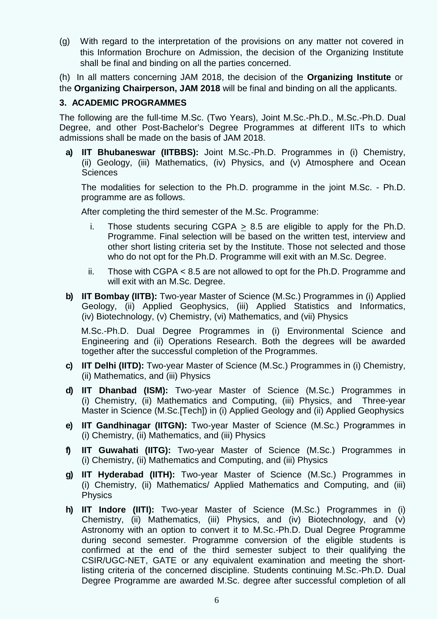(g) With regard to the interpretation of the provisions on any matter not covered in this Information Brochure on Admission, the decision of the Organizing Institute shall be final and binding on all the parties concerned.

(h) In all matters concerning JAM 2018, the decision of the **Organizing Institute** or the **Organizing Chairperson, JAM 2018** will be final and binding on all the applicants.

## **3. ACADEMIC PROGRAMMES**

The following are the full-time M.Sc. (Two Years), Joint M.Sc.-Ph.D., M.Sc.-Ph.D. Dual Degree, and other Post-Bachelor's Degree Programmes at different IITs to which admissions shall be made on the basis of JAM 2018.

**a) IIT Bhubaneswar (IITBBS):** Joint M.Sc.-Ph.D. Programmes in (i) Chemistry, (ii) Geology, (iii) Mathematics, (iv) Physics, and (v) Atmosphere and Ocean **Sciences** 

The modalities for selection to the Ph.D. programme in the joint M.Sc. - Ph.D. programme are as follows.

After completing the third semester of the M.Sc. Programme:

- i. Those students securing CGPA  $\geq$  8.5 are eligible to apply for the Ph.D. Programme. Final selection will be based on the written test, interview and other short listing criteria set by the Institute. Those not selected and those who do not opt for the Ph.D. Programme will exit with an M.Sc. Degree.
- ii. Those with CGPA < 8.5 are not allowed to opt for the Ph.D. Programme and will exit with an M.Sc. Degree.
- **b) IIT Bombay (IITB):** Two-year Master of Science (M.Sc.) Programmes in (i) Applied Geology, (ii) Applied Geophysics, (iii) Applied Statistics and Informatics, (iv) Biotechnology, (v) Chemistry, (vi) Mathematics, and (vii) Physics

M.Sc.-Ph.D. Dual Degree Programmes in (i) Environmental Science and Engineering and (ii) Operations Research. Both the degrees will be awarded together after the successful completion of the Programmes.

- **c) IIT Delhi (IITD):** Two-year Master of Science (M.Sc.) Programmes in (i) Chemistry, (ii) Mathematics, and (iii) Physics
- **d) IIT Dhanbad (ISM):** Two-year Master of Science (M.Sc.) Programmes in (i) Chemistry, (ii) Mathematics and Computing, (iii) Physics, and Three-year Master in Science (M.Sc.[Tech]) in (i) Applied Geology and (ii) Applied Geophysics
- **e) IIT Gandhinagar (IITGN):** Two-year Master of Science (M.Sc.) Prog**r**ammes in (i) Chemistry, (ii) Mathematics, and (iii) Physics
- **f) IIT Guwahati (IITG):** Two-year Master of Science (M.Sc.) Programmes in (i) Chemistry, (ii) Mathematics and Computing, and (iii) Physics
- **g) IIT Hyderabad (IITH):** Two-year Master of Science (M.Sc.) Programmes in (i) Chemistry, (ii) Mathematics/ Applied Mathematics and Computing, and (iii) Physics
- **h) IIT Indore (IITI):** Two-year Master of Science (M.Sc.) Programmes in (i) Chemistry, (ii) Mathematics, (iii) Physics, and (iv) Biotechnology, and (v) Astronomy with an option to convert it to M.Sc.-Ph.D. Dual Degree Programme during second semester. Programme conversion of the eligible students is confirmed at the end of the third semester subject to their qualifying the CSIR/UGC-NET, GATE or any equivalent examination and meeting the shortlisting criteria of the concerned discipline. Students continuing M.Sc.-Ph.D. Dual Degree Programme are awarded M.Sc. degree after successful completion of all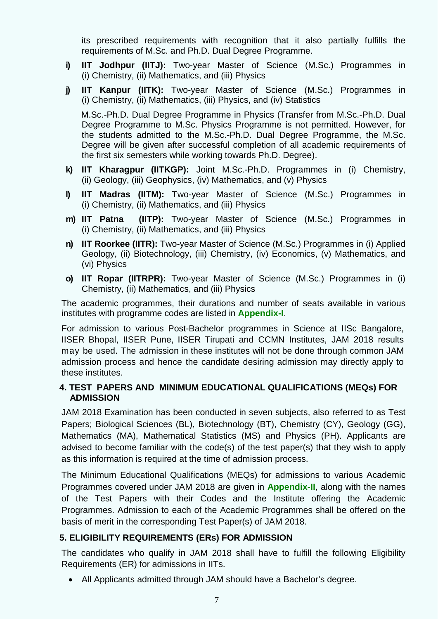its prescribed requirements with recognition that it also partially fulfills the requirements of M.Sc. and Ph.D. Dual Degree Programme.

- **i) IIT Jodhpur (IITJ):** Two-year Master of Science (M.Sc.) Programmes in (i) Chemistry, (ii) Mathematics, and (iii) Physics
- **j) IIT Kanpur (IITK):** Two-year Master of Science (M.Sc.) Programmes in (i) Chemistry, (ii) Mathematics, (iii) Physics, and (iv) Statistics

M.Sc.-Ph.D. Dual Degree Programme in Physics (Transfer from M.Sc.-Ph.D. Dual Degree Programme to M.Sc. Physics Programme is not permitted. However, for the students admitted to the M.Sc.-Ph.D. Dual Degree Programme, the M.Sc. Degree will be given after successful completion of all academic requirements of the first six semesters while working towards Ph.D. Degree).

- **k) IIT Kharagpur (IITKGP):** Joint M.Sc.-Ph.D. Programmes in (i) Chemistry, (ii) Geology, (iii) Geophysics, (iv) Mathematics, and (v) Physics
- **l) IIT Madras (IITM):** Two-year Master of Science (M.Sc.) Programmes in (i) Chemistry, (ii) Mathematics, and (iii) Physics
- **m) IIT Patna (IITP):** Two-year Master of Science (M.Sc.) Programmes in (i) Chemistry, (ii) Mathematics, and (iii) Physics
- **n) IIT Roorkee (IITR):** Two-year Master of Science (M.Sc.) Programmes in (i) Applied Geology, (ii) Biotechnology, (iii) Chemistry, (iv) Economics, (v) Mathematics, and (vi) Physics
- **o) IIT Ropar (IITRPR):** Two-year Master of Science (M.Sc.) Programmes in (i) Chemistry, (ii) Mathematics, and (iii) Physics

The academic programmes, their durations and number of seats available in various institutes with programme codes are listed in **Appendix-I**.

For admission to various Post-Bachelor programmes in Science at IISc Bangalore, IISER Bhopal, IISER Pune, IISER Tirupati and CCMN Institutes, JAM 2018 results may be used. The admission in these institutes will not be done through common JAM admission process and hence the candidate desiring admission may directly apply to these institutes.

### **4. TEST PAPERS AND MINIMUM EDUCATIONAL QUALIFICATIONS (MEQs) FOR ADMISSION**

JAM 2018 Examination has been conducted in seven subjects, also referred to as Test Papers; Biological Sciences (BL), Biotechnology (BT), Chemistry (CY), Geology (GG), Mathematics (MA), Mathematical Statistics (MS) and Physics (PH). Applicants are advised to become familiar with the code(s) of the test paper(s) that they wish to apply as this information is required at the time of admission process.

The Minimum Educational Qualifications (MEQs) for admissions to various Academic Programmes covered under JAM 2018 are given in **Appendix-II**, along with the names of the Test Papers with their Codes and the Institute offering the Academic Programmes. Admission to each of the Academic Programmes shall be offered on the basis of merit in the corresponding Test Paper(s) of JAM 2018.

### **5. ELIGIBILITY REQUIREMENTS (ERs) FOR ADMISSION**

The candidates who qualify in JAM 2018 shall have to fulfill the following Eligibility Requirements (ER) for admissions in IITs.

• All Applicants admitted through JAM should have a Bachelor's degree.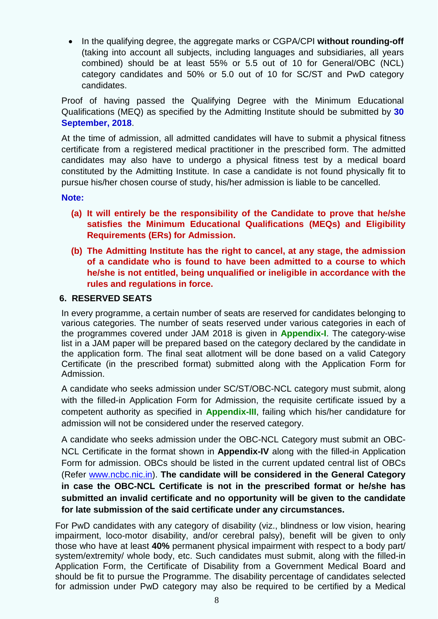• In the qualifying degree, the aggregate marks or CGPA/CPI **without rounding-off** (taking into account all subjects, including languages and subsidiaries, all years combined) should be at least 55% or 5.5 out of 10 for General/OBC (NCL) category candidates and 50% or 5.0 out of 10 for SC/ST and PwD category candidates.

Proof of having passed the Qualifying Degree with the Minimum Educational Qualifications (MEQ) as specified by the Admitting Institute should be submitted by **30 September, 2018**.

At the time of admission, all admitted candidates will have to submit a physical fitness certificate from a registered medical practitioner in the prescribed form. The admitted candidates may also have to undergo a physical fitness test by a medical board constituted by the Admitting Institute. In case a candidate is not found physically fit to pursue his/her chosen course of study, his/her admission is liable to be cancelled.

**Note:** 

- **(a) It will entirely be the responsibility of the Candidate to prove that he/she satisfies the Minimum Educational Qualifications (MEQs) and Eligibility Requirements (ERs) for Admission.**
- **(b) The Admitting Institute has the right to cancel, at any stage, the admission of a candidate who is found to have been admitted to a course to which he/she is not entitled, being unqualified or ineligible in accordance with the rules and regulations in force.**

### **6. RESERVED SEATS**

In every programme, a certain number of seats are reserved for candidates belonging to various categories. The number of seats reserved under various categories in each of the programmes covered under JAM 2018 is given in **Appendix-I**. The category-wise list in a JAM paper will be prepared based on the category declared by the candidate in the application form. The final seat allotment will be done based on a valid Category Certificate (in the prescribed format) submitted along with the Application Form for Admission.

A candidate who seeks admission under SC/ST/OBC-NCL category must submit, along with the filled-in Application Form for Admission, the requisite certificate issued by a competent authority as specified in **Appendix-III**, failing which his/her candidature for admission will not be considered under the reserved category.

A candidate who seeks admission under the OBC-NCL Category must submit an OBC-NCL Certificate in the format shown in **Appendix-IV** along with the filled-in Application Form for admission. OBCs should be listed in the current updated central list of OBCs (Refer www.ncbc.nic.in). **The candidate will be considered in the General Category in case the OBC-NCL Certificate is not in the prescribed format or he/she has submitted an invalid certificate and no opportunity will be given to the candidate for late submission of the said certificate under any circumstances.**

For PwD candidates with any category of disability (viz., blindness or low vision, hearing impairment, loco-motor disability, and/or cerebral palsy), benefit will be given to only those who have at least **40%** permanent physical impairment with respect to a body part/ system/extremity/ whole body, etc. Such candidates must submit, along with the filled-in Application Form, the Certificate of Disability from a Government Medical Board and should be fit to pursue the Programme. The disability percentage of candidates selected for admission under PwD category may also be required to be certified by a Medical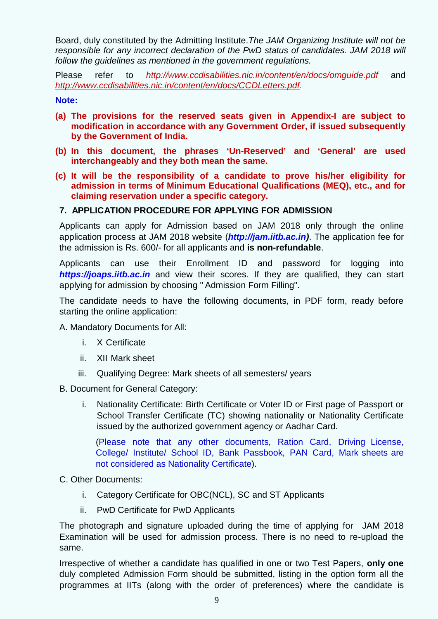Board, duly constituted by the Admitting Institute.*The JAM Organizing Institute will not be responsible for any incorrect declaration of the PwD status of candidates. JAM 2018 will follow the guidelines as mentioned in the government regulations.* 

Please refer to *http://www.ccdisabilities.nic.in/content/en/docs/omguide.pdf* and *[http://www.ccdisabilities.nic.in/content/en/docs/CCDLetters.pdf.](http://www.ccdisabilities.nic.in/content/en/docs/CCDLetters.pdf)*

**Note:**

- **(a) The provisions for the reserved seats given in Appendix-I are subject to modification in accordance with any Government Order, if issued subsequently by the Government of India.**
- **(b) In this document, the phrases 'Un-Reserved' and 'General' are used interchangeably and they both mean the same.**
- **(c) It will be the responsibility of a candidate to prove his/her eligibility for admission in terms of Minimum Educational Qualifications (MEQ), etc., and for claiming reservation under a specific category.**

### **7. APPLICATION PROCEDURE FOR APPLYING FOR ADMISSION**

Applicants can apply for Admission based on JAM 2018 only through the online application process at JAM 2018 website (*[http://jam.iitb.ac.in\)](http://jam.iitb.ac.in/)*. The application fee for the admission is Rs. 600/- for all applicants and **is non-refundable**.

Applicants can use their Enrollment ID and password for logging into *[https://joaps.iitb.ac.in](https://joaps.iitb.ac.in/)* and view their scores. If they are qualified, they can start applying for admission by choosing " Admission Form Filling".

The candidate needs to have the following documents, in PDF form, ready before starting the online application:

A. Mandatory Documents for All:

- i. X Certificate
- ii. XII Mark sheet
- iii. Qualifying Degree: Mark sheets of all semesters/ years

B. Document for General Category:

i. Nationality Certificate: Birth Certificate or Voter ID or First page of Passport or School Transfer Certificate (TC) showing nationality or Nationality Certificate issued by the authorized government agency or Aadhar Card.

(Please note that any other documents, Ration Card, Driving License, College/ Institute/ School ID, Bank Passbook, PAN Card, Mark sheets are not considered as Nationality Certificate).

C. Other Documents:

- i. Category Certificate for OBC(NCL), SC and ST Applicants
- ii. PwD Certificate for PwD Applicants

The photograph and signature uploaded during the time of applying for JAM 2018 Examination will be used for admission process. There is no need to re-upload the same.

Irrespective of whether a candidate has qualified in one or two Test Papers, **only one** duly completed Admission Form should be submitted, listing in the option form all the programmes at IITs (along with the order of preferences) where the candidate is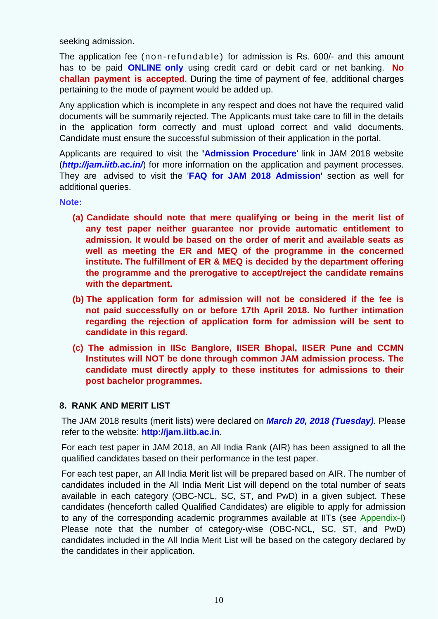seeking admission.

The application fee (non-refundable) for admission is Rs. 600/- and this amount has to be paid **ONLINE only** using credit card or debit card or net banking. **No challan payment is accepted**. During the time of payment of fee, additional charges pertaining to the mode of payment would be added up.

Any application which is incomplete in any respect and does not have the required valid documents will be summarily rejected. The Applicants must take care to fill in the details in the application form correctly and must upload correct and valid documents. Candidate must ensure the successful submission of their application in the portal.

Applicants are required to visit the **'Admission Procedure**' link in JAM 2018 website (*[http://jam.iitb.ac.in/](http://jam.iitd.ac.in/)*) for more information on the application and payment processes. They are advised to visit the '**FAQ for JAM 2018 Admission'** section as well for additional queries.

**Note:**

- **(a) Candidate should note that mere qualifying or being in the merit list of any test paper neither guarantee nor provide automatic entitlement to admission. It would be based on the order of merit and available seats as well as meeting the ER and MEQ of the programme in the concerned institute. The fulfillment of ER & MEQ is decided by the department offering the programme and the prerogative to accept/reject the candidate remains with the department.**
- **(b) The application form for admission will not be considered if the fee is not paid successfully on or before 17th April 2018. No further intimation regarding the rejection of application form for admission will be sent to candidate in this regard.**
- **(c) The admission in IISc Banglore, IISER Bhopal, IISER Pune and CCMN Institutes will NOT be done through common JAM admission process. The candidate must directly apply to these institutes for admissions to their post bachelor programmes.**

#### **8. RANK AND MERIT LIST**

The JAM 2018 results (merit lists) were declared on *March 20, 2018 (Tuesday).* Please refer to the website: **http://jam.iitb.ac.in**.

For each test paper in JAM 2018, an All India Rank (AIR) has been assigned to all the qualified candidates based on their performance in the test paper.

For each test paper, an All India Merit list will be prepared based on AIR. The number of candidates included in the All India Merit List will depend on the total number of seats available in each category (OBC-NCL, SC, ST, and PwD) in a given subject. These candidates (henceforth called Qualified Candidates) are eligible to apply for admission to any of the corresponding academic programmes available at IITs (see Appendix-I) Please note that the number of category-wise (OBC-NCL, SC, ST, and PwD) candidates included in the All India Merit List will be based on the category declared by the candidates in their application.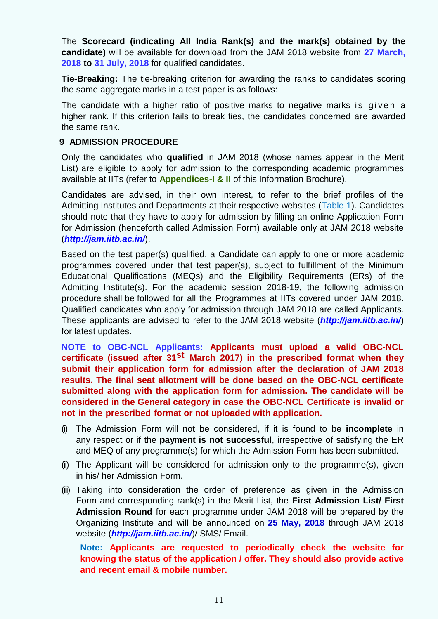The **Scorecard (indicating All India Rank(s) and the mark(s) obtained by the candidate)** will be available for download from the JAM 2018 website from **27 March, 2018 to 31 July, 2018** for qualified candidates.

**Tie-Breaking:** The tie-breaking criterion for awarding the ranks to candidates scoring the same aggregate marks in a test paper is as follows:

The candidate with a higher ratio of positive marks to negative marks is given a higher rank. If this criterion fails to break ties, the candidates concerned are awarded the same rank.

### **9 ADMISSION PROCEDURE**

Only the candidates who **qualified** in JAM 2018 (whose names appear in the Merit List) are eligible to apply for admission to the corresponding academic programmes available at IITs (refer to **Appendices-I & II** of this Information Brochure).

Candidates are advised, in their own interest, to refer to the brief profiles of the Admitting Institutes and Departments at their respective websites (Table 1). Candidates should note that they have to apply for admission by filling an online Application Form for Admission (henceforth called Admission Form) available only at JAM 2018 website (*[http://jam.iitb.ac.in/](http://jam.iitd.ac.in/)*).

Based on the test paper(s) qualified, a Candidate can apply to one or more academic programmes covered under that test paper(s), subject to fulfillment of the Minimum Educational Qualifications (MEQs) and the Eligibility Requirements (ERs) of the Admitting Institute(s). For the academic session 2018-19, the following admission procedure shall be followed for all the Programmes at IITs covered under JAM 2018. Qualified candidates who apply for admission through JAM 2018 are called Applicants. These applicants are advised to refer to the JAM 2018 website (*[http://jam.iitb.ac.in/](http://jam.iitd.ac.in/))*) for latest updates.

**NOTE to OBC-NCL Applicants: Applicants must upload a valid OBC-NCL certificate (issued after 31st March 2017) in the prescribed format when they submit their application form for admission after the declaration of JAM 2018 results. The final seat allotment will be done based on the OBC-NCL certificate submitted along with the application form for admission. The candidate will be considered in the General category in case the OBC-NCL Certificate is invalid or not in the prescribed format or not uploaded with application.**

- (i) The Admission Form will not be considered, if it is found to be **incomplete** in any respect or if the **payment is not successful**, irrespective of satisfying the ER and MEQ of any programme(s) for which the Admission Form has been submitted.
- (ii) The Applicant will be considered for admission only to the programme(s), given in his/ her Admission Form.
- (iii) Taking into consideration the order of preference as given in the Admission Form and corresponding rank(s) in the Merit List, the **First Admission List/ First Admission Round** for each programme under JAM 2018 will be prepared by the Organizing Institute and will be announced on **25 May, 2018** through JAM 2018 website (*[http://jam.iitb.ac.in/](http://jam.iitd.ac.in/)/)*)/ SMS/ Email.

**Note: Applicants are requested to periodically check the website for knowing the status of the application / offer. They should also provide active and recent email & mobile number.**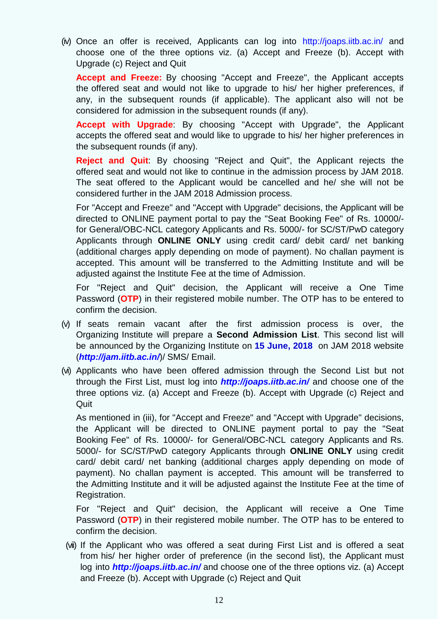(iv) Once an offer is received, Applicants can log into [http://joaps.iitb.ac.in/](http://joaps.iitd.ac.in/) and choose one of the three options viz. (a) Accept and Freeze (b). Accept with Upgrade (c) Reject and Quit

**Accept and Freeze:** By choosing "Accept and Freeze", the Applicant accepts the offered seat and would not like to upgrade to his/ her higher preferences, if any, in the subsequent rounds (if applicable). The applicant also will not be considered for admission in the subsequent rounds (if any).

**Accept with Upgrade**: By choosing "Accept with Upgrade", the Applicant accepts the offered seat and would like to upgrade to his/ her higher preferences in the subsequent rounds (if any).

**Reject and Quit**: By choosing "Reject and Quit", the Applicant rejects the offered seat and would not like to continue in the admission process by JAM 2018. The seat offered to the Applicant would be cancelled and he/ she will not be considered further in the JAM 2018 Admission process.

For "Accept and Freeze" and "Accept with Upgrade" decisions, the Applicant will be directed to ONLINE payment portal to pay the "Seat Booking Fee" of Rs. 10000/ for General/OBC-NCL category Applicants and Rs. 5000/- for SC/ST/PwD category Applicants through **ONLINE ONLY** using credit card/ debit card/ net banking (additional charges apply depending on mode of payment). No challan payment is accepted. This amount will be transferred to the Admitting Institute and will be adjusted against the Institute Fee at the time of Admission.

For "Reject and Quit" decision, the Applicant will receive a One Time Password (**OTP**) in their registered mobile number. The OTP has to be entered to confirm the decision.

- (v) If seats remain vacant after the first admission process is over, the Organizing Institute will prepare a **Second Admission List**. This second list will be announced by the Organizing Institute on **15 June, 2018** on JAM 2018 website (*[http://jam.iitb.ac.in/](http://jam.iitd.ac.in/)/)*)/ SMS/ Email.
- (vi) Applicants who have been offered admission through the Second List but not through the First List, must log into *[http://joaps.iitb.ac.in/](http://joaps.iitd.ac.in/)* and choose one of the three options viz. (a) Accept and Freeze (b). Accept with Upgrade (c) Reject and **Quit**

As mentioned in (iii), for "Accept and Freeze" and "Accept with Upgrade" decisions, the Applicant will be directed to ONLINE payment portal to pay the "Seat Booking Fee" of Rs. 10000/- for General/OBC-NCL category Applicants and Rs. 5000/- for SC/ST/PwD category Applicants through **ONLINE ONLY** using credit card/ debit card/ net banking (additional charges apply depending on mode of payment). No challan payment is accepted. This amount will be transferred to the Admitting Institute and it will be adjusted against the Institute Fee at the time of Registration.

For "Reject and Quit" decision, the Applicant will receive a One Time Password (**OTP**) in their registered mobile number. The OTP has to be entered to confirm the decision.

(vii) If the Applicant who was offered a seat during First List and is offered a seat from his/ her higher order of preference (in the second list), the Applicant must log into *[http://joaps.iitb.ac.in/](http://joaps.iitd.ac.in/)* and choose one of the three options viz. (a) Accept and Freeze (b). Accept with Upgrade (c) Reject and Quit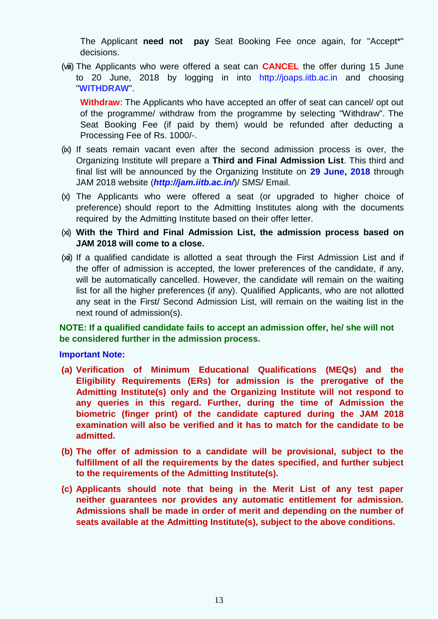The Applicant **need not pay** Seat Booking Fee once again, for "Accept\*" decisions.

(viii) The Applicants who were offered a seat can **CANCEL** the offer during 15 June to 20 June, 2018 by logging in into [http://joaps.iitb.ac.in](http://joaps.iitd.ac.in/) and choosing "**WITHDRAW**".

**Withdraw**: The Applicants who have accepted an offer of seat can cancel/ opt out of the programme/ withdraw from the programme by selecting "Withdraw". The Seat Booking Fee (if paid by them) would be refunded after deducting a Processing Fee of Rs. 1000/-.

- (ix) If seats remain vacant even after the second admission process is over, the Organizing Institute will prepare a **Third and Final Admission List**. This third and final list will be announced by the Organizing Institute on **29 June, 2018** through JAM 2018 website (*[http://jam.iitb.ac.in/](http://jam.iitd.ac.in/)/)*)/ SMS/ Email.
- (x) The Applicants who were offered a seat (or upgraded to higher choice of preference) should report to the Admitting Institutes along with the documents required by the Admitting Institute based on their offer letter.
- (xi) **With the Third and Final Admission List, the admission process based on JAM 2018 will come to a close.**
- (xii) If a qualified candidate is allotted a seat through the First Admission List and if the offer of admission is accepted, the lower preferences of the candidate, if any, will be automatically cancelled. However, the candidate will remain on the waiting list for all the higher preferences (if any). Qualified Applicants, who are not allotted any seat in the First/ Second Admission List, will remain on the waiting list in the next round of admission(s).

### **NOTE: If a qualified candidate fails to accept an admission offer, he/ she will not be considered further in the admission process.**

#### **Important Note:**

- **(a) Verification of Minimum Educational Qualifications (MEQs) and the Eligibility Requirements (ERs) for admission is the prerogative of the Admitting Institute(s) only and the Organizing Institute will not respond to any queries in this regard. Further, during the time of Admission the biometric (finger print) of the candidate captured during the JAM 2018 examination will also be verified and it has to match for the candidate to be admitted.**
- **(b) The offer of admission to a candidate will be provisional, subject to the fulfillment of all the requirements by the dates specified, and further subject to the requirements of the Admitting Institute(s).**
- **(c) Applicants should note that being in the Merit List of any test paper neither guarantees nor provides any automatic entitlement for admission. Admissions shall be made in order of merit and depending on the number of seats available at the Admitting Institute(s), subject to the above conditions.**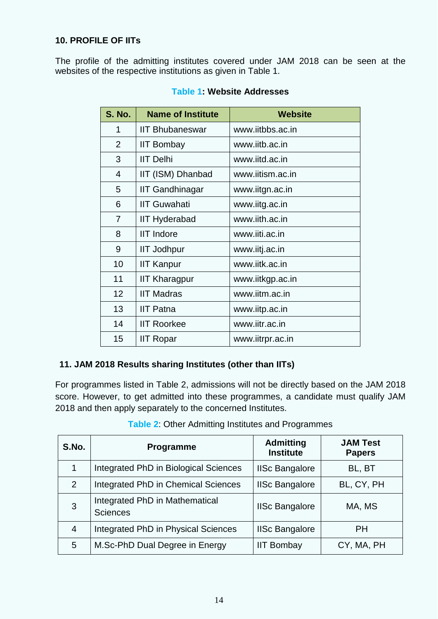### **10. PROFILE OF IITs**

The profile of the admitting institutes covered under JAM 2018 can be seen at the websites of the respective institutions as given in Table 1.

| <b>S. No.</b>           | <b>Name of Institute</b> | <b>Website</b>   |
|-------------------------|--------------------------|------------------|
| 1                       | <b>IIT Bhubaneswar</b>   | www.iitbbs.ac.in |
| 2                       | <b>IIT Bombay</b>        | www.iitb.ac.in   |
| 3                       | <b>IIT Delhi</b>         | www.jitd.ac.in   |
| $\overline{\mathbf{4}}$ | IIT (ISM) Dhanbad        | www.iitism.ac.in |
| 5                       | IIT Gandhinagar          | www.iitgn.ac.in  |
| 6                       | <b>IIT Guwahati</b>      | www.iitg.ac.in   |
| $\overline{7}$          | <b>IIT Hyderabad</b>     | www.iith.ac.in   |
| 8                       | <b>IIT Indore</b>        | www.iiti.ac.in   |
| 9                       | <b>IIT Jodhpur</b>       | www.iitj.ac.in   |
| 10                      | <b>IIT Kanpur</b>        | www.iitk.ac.in   |
| 11                      | <b>IIT Kharagpur</b>     | www.iitkgp.ac.in |
| 12                      | <b>IIT Madras</b>        | www.iitm.ac.in   |
| 13                      | IIT Patna                | www.iitp.ac.in   |
| 14                      | <b>IIT Roorkee</b>       | www.iitr.ac.in   |
| 15                      | <b>IIT Ropar</b>         | www.iitrpr.ac.in |

### **Table 1: Website Addresses**

## **11. JAM 2018 Results sharing Institutes (other than IITs)**

For programmes listed in Table 2, admissions will not be directly based on the JAM 2018 score. However, to get admitted into these programmes, a candidate must qualify JAM 2018 and then apply separately to the concerned Institutes.

| S.No. | Programme                                         | <b>Admitting</b><br><b>Institute</b> | <b>JAM Test</b><br><b>Papers</b> |
|-------|---------------------------------------------------|--------------------------------------|----------------------------------|
|       | Integrated PhD in Biological Sciences             | <b>IISc Bangalore</b>                | BL, BT                           |
| 2     | Integrated PhD in Chemical Sciences               | <b>IISc Bangalore</b>                | BL, CY, PH                       |
| 3     | Integrated PhD in Mathematical<br><b>Sciences</b> | <b>IISc Bangalore</b>                | MA, MS                           |
| 4     | Integrated PhD in Physical Sciences               | <b>IISc Bangalore</b>                | <b>PH</b>                        |
| 5     | M.Sc-PhD Dual Degree in Energy                    | <b>IIT Bombay</b>                    | CY, MA, PH                       |

**Table 2**: Other Admitting Institutes and Programmes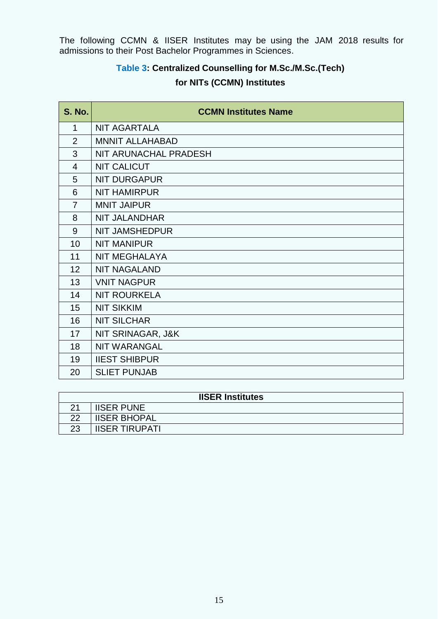The following CCMN & IISER Institutes may be using the JAM 2018 results for admissions to their Post Bachelor Programmes in Sciences.

## **Table 3: Centralized Counselling for M.Sc./M.Sc.(Tech)**

## **for NITs (CCMN) Institutes**

| <b>S. No.</b>  | <b>CCMN Institutes Name</b> |
|----------------|-----------------------------|
| 1              | <b>NIT AGARTALA</b>         |
| $\overline{2}$ | <b>MNNIT ALLAHABAD</b>      |
| 3              | NIT ARUNACHAL PRADESH       |
| $\overline{4}$ | <b>NIT CALICUT</b>          |
| 5              | <b>NIT DURGAPUR</b>         |
| 6              | <b>NIT HAMIRPUR</b>         |
| $\overline{7}$ | <b>MNIT JAIPUR</b>          |
| 8              | <b>NIT JALANDHAR</b>        |
| 9              | <b>NIT JAMSHEDPUR</b>       |
| 10             | <b>NIT MANIPUR</b>          |
| 11             | <b>NIT MEGHALAYA</b>        |
| 12             | <b>NIT NAGALAND</b>         |
| 13             | <b>VNIT NAGPUR</b>          |
| 14             | <b>NIT ROURKELA</b>         |
| 15             | <b>NIT SIKKIM</b>           |
| 16             | <b>NIT SILCHAR</b>          |
| 17             | NIT SRINAGAR, J&K           |
| 18             | <b>NIT WARANGAL</b>         |
| 19             | <b>IIEST SHIBPUR</b>        |
| 20             | <b>SLIET PUNJAB</b>         |

| <b>IISER Institutes</b> |                       |  |  |
|-------------------------|-----------------------|--|--|
|                         | <b>IISER PUNE</b>     |  |  |
| つつ                      | <b>IISER BHOPAL</b>   |  |  |
| 23                      | <b>IISER TIRUPATI</b> |  |  |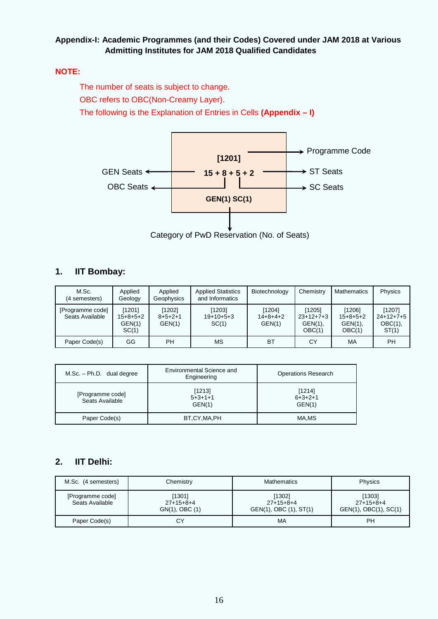### **Appendix-I: Academic Programmes (and their Codes) Covered under JAM 2018 at Various Admitting Institutes for JAM 2018 Qualified Candidates**

#### **NOTE:**

The number of seats is subject to change. OBC refers to OBC(Non-Creamy Layer). The following is the Explanation of Entries in Cells **(Appendix – I)**



### **1. IIT Bombay:**

| M.Sc.<br>(4 semesters)              | Applied<br>Geology                      | Applied<br>Geophysics               | <b>Applied Statistics</b><br>and Informatics | Biotechnology                        | Chemistry                                     | <b>Mathematics</b>                           | Physics                                      |
|-------------------------------------|-----------------------------------------|-------------------------------------|----------------------------------------------|--------------------------------------|-----------------------------------------------|----------------------------------------------|----------------------------------------------|
| [Programme code]<br>Seats Available | [1201]<br>$15+8+5+2$<br>GEN(1)<br>SC(1) | [1202]<br>$8 + 5 + 2 + 1$<br>GEN(1) | [1203]<br>$19+10+5+3$<br>SC(1)               | [1204]<br>$14 + 8 + 4 + 2$<br>GEN(1) | [1205]<br>$23+12+7+3$<br>$GEN(1)$ ,<br>OBC(1) | [1206]<br>$15+8+5+2$<br>$GEN(1)$ ,<br>OBC(1) | [1207]<br>$24+12+7+5$<br>$OBC(1)$ ,<br>ST(1) |
| Paper Code(s)                       | GG                                      | PН                                  | <b>MS</b>                                    | <b>BT</b>                            | СY                                            | MA                                           | <b>PH</b>                                    |

| $M.Sc. - Ph.D.$ dual degree         | Environmental Science and<br>Engineering | <b>Operations Research</b>    |
|-------------------------------------|------------------------------------------|-------------------------------|
| [Programme code]<br>Seats Available | [1213]<br>$5+3+1+1$<br>GEN(1)            | [1214]<br>$6+3+2+1$<br>GEN(1) |
| Paper Code(s)                       | BT,CY,MA,PH                              | MA.MS                         |

## **2. IIT Delhi:**

| M.Sc. (4 semesters)                 | Chemistry                               | <b>Mathematics</b>                              | Physics                                        |
|-------------------------------------|-----------------------------------------|-------------------------------------------------|------------------------------------------------|
| [Programme code]<br>Seats Available | [1301]<br>$27+15+8+4$<br>GN(1), OBC (1) | [1302]<br>$27+15+8+4$<br>GEN(1), OBC (1), ST(1) | [1303]<br>$27+15+8+4$<br>GEN(1), OBC(1), SC(1) |
| Paper Code(s)                       | СY                                      | МA                                              | PH                                             |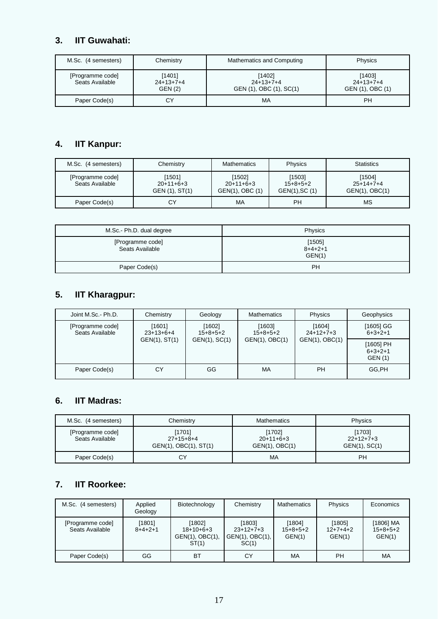## **3. IIT Guwahati:**

| M.Sc. (4 semesters)                 | Chemistry                               | Mathematics and Computing                        | Physics                                   |
|-------------------------------------|-----------------------------------------|--------------------------------------------------|-------------------------------------------|
| [Programme code]<br>Seats Available | [1401]<br>$24+13+7+4$<br><b>GEN (2)</b> | [1402]<br>$24+13+7+4$<br>GEN (1), OBC (1), SC(1) | [1403]<br>$24+13+7+4$<br>GEN (1), OBC (1) |
| Paper Code(s)                       | СY                                      | MA                                               | PH                                        |

## **4. IIT Kanpur:**

| M.Sc. (4 semesters)                 | Chemistry                               | <b>Mathematics</b>                       | Physics                                | <b>Statistics</b>                            |
|-------------------------------------|-----------------------------------------|------------------------------------------|----------------------------------------|----------------------------------------------|
| [Programme code]<br>Seats Available | [1501]<br>$20+11+6+3$<br>GEN (1), ST(1) | [1502]<br>$20+11+6+3$<br>GEN(1), OBC (1) | [1503]<br>$15+8+5+2$<br>GEN(1), SC (1) | [1504]<br>$25+14+7+4$<br>$GEN(1)$ , $OBC(1)$ |
| Paper Code(s)                       | CY                                      | МA                                       | PH                                     | ΜS                                           |

| M.Sc.- Ph.D. dual degree            | Physics                             |
|-------------------------------------|-------------------------------------|
| [Programme code]<br>Seats Available | [1505]<br>$8 + 4 + 2 + 1$<br>GEN(1) |
| Paper Code(s)                       | <b>PH</b>                           |

## **5. IIT Kharagpur:**

| Joint M.Sc.- Ph.D.                  | Chemistry             | Geology              | <b>Mathematics</b>   | Physics               | Geophysics                                 |
|-------------------------------------|-----------------------|----------------------|----------------------|-----------------------|--------------------------------------------|
| [Programme code]<br>Seats Available | [1601]<br>$23+13+6+4$ | [1602]<br>$15+8+5+2$ | [1603]<br>$15+8+5+2$ | [1604]<br>$24+12+7+3$ | [1605] GG<br>$6+3+2+1$                     |
|                                     | GEN(1), ST(1)         | GEN(1), SC(1)        | GEN(1), OBC(1)       | GEN(1), OBC(1)        | $[1605]$ PH<br>$6+3+2+1$<br><b>GEN (1)</b> |
| Paper Code(s)                       | СY                    | GG                   | <b>MA</b>            | <b>PH</b>             | GG,PH                                      |

## **6. IIT Madras:**

| M.Sc. (4 semesters)                 | Chemistry                                      | <b>Mathematics</b>                      | Physics                                |
|-------------------------------------|------------------------------------------------|-----------------------------------------|----------------------------------------|
| [Programme code]<br>Seats Available | [1701]<br>$27+15+8+4$<br>GEN(1), OBC(1), ST(1) | [1702]<br>$20+11+6+3$<br>GEN(1), OBC(1) | [1703]<br>$22+12+7+3$<br>GEN(1), SC(1) |
| Paper Code(s)                       | СY                                             | МA                                      | PH                                     |

## **7. IIT Roorkee:**

| M.Sc. (4 semesters)                 | Applied<br>Geology  | Biotechnology                                     | Chemistry                                               | <b>Mathematics</b>             | Physics                        | Economics                         |
|-------------------------------------|---------------------|---------------------------------------------------|---------------------------------------------------------|--------------------------------|--------------------------------|-----------------------------------|
| [Programme code]<br>Seats Available | [1801]<br>$8+4+2+1$ | [1802]<br>$18+10+6+3$<br>GEN(1), OBC(1),<br>ST(1) | [1803]<br>$23+12+7+3$<br>$GEN(1)$ , $OBC(1)$ ,<br>SC(1) | [1804]<br>$15+8+5+2$<br>GEN(1) | [1805]<br>$12+7+4+2$<br>GEN(1) | [1806] MA<br>$15+8+5+2$<br>GEN(1) |
| Paper Code(s)                       | GG                  | <b>BT</b>                                         | СY                                                      | МA                             | PH                             | MA                                |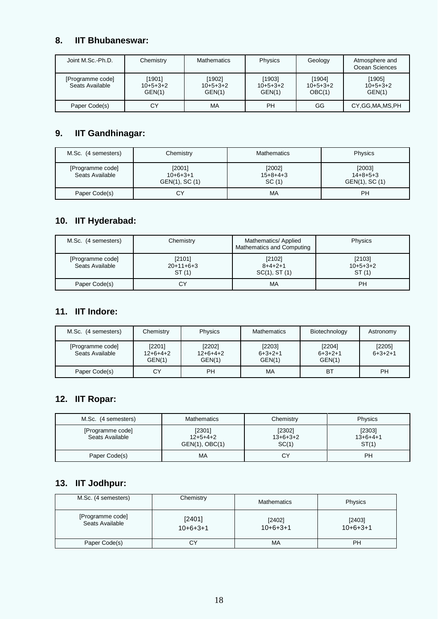### **8. IIT Bhubaneswar:**

| Joint M.Sc.-Ph.D.                   | Chemistry                      | <b>Mathematics</b>             | <b>Physics</b>                 | Geology                        | Atmosphere and<br>Ocean Sciences |
|-------------------------------------|--------------------------------|--------------------------------|--------------------------------|--------------------------------|----------------------------------|
| [Programme code]<br>Seats Available | [1901]<br>$10+5+3+2$<br>GEN(1) | [1902]<br>$10+5+3+2$<br>GEN(1) | [1903]<br>$10+5+3+2$<br>GEN(1) | [1904]<br>$10+5+3+2$<br>OBC(1) | [1905]<br>$10+5+3+2$<br>GEN(1)   |
| Paper Code(s)                       | СY                             | MA                             | PН                             | GG                             | CY, GG, MA, MS, PH               |

## **9. IIT Gandhinagar:**

| M.Sc. (4 semesters)                 | Chemistry                              | Mathematics                   | Physics                                      |
|-------------------------------------|----------------------------------------|-------------------------------|----------------------------------------------|
| [Programme code]<br>Seats Available | [2001]<br>$10+6+3+1$<br>GEN(1), SC (1) | [2002]<br>$15+8+4+3$<br>SC(1) | [2003]<br>$14 + 8 + 5 + 3$<br>GEN(1), SC (1) |
| Paper Code(s)                       | СY                                     | MA                            | PН                                           |

## **10. IIT Hyderabad:**

| M.Sc. (4 semesters)                 | Chemistry                      | Mathematics/ Applied<br>Mathematics and Computing | Physics                       |
|-------------------------------------|--------------------------------|---------------------------------------------------|-------------------------------|
| [Programme code]<br>Seats Available | [2101]<br>$20+11+6+3$<br>ST(1) | [2102]<br>$8+4+2+1$<br>$SC(1)$ , ST $(1)$         | [2103]<br>$10+5+3+2$<br>ST(1) |
| Paper Code(s)                       | СY                             | MA                                                | PH                            |

## **11. IIT Indore:**

| M.Sc. (4 semesters)                 | Chemistry                      | Physics                        | <b>Mathematics</b>            | Biotechnology                 | Astronomy           |
|-------------------------------------|--------------------------------|--------------------------------|-------------------------------|-------------------------------|---------------------|
| [Programme code]<br>Seats Available | [2201]<br>$12+6+4+2$<br>GEN(1) | [2202]<br>$12+6+4+2$<br>GEN(1) | [2203]<br>$6+3+2+1$<br>GEN(1) | [2204]<br>$6+3+2+1$<br>GEN(1) | [2205]<br>$6+3+2+1$ |
| Paper Code(s)                       | СY                             | PН                             | MA                            | BT                            | PН                  |

## **12. IIT Ropar:**

| M.Sc. (4 semesters)                 | <b>Mathematics</b>                     | Chemistry                     | Physics                       |
|-------------------------------------|----------------------------------------|-------------------------------|-------------------------------|
| [Programme code]<br>Seats Available | [2301]<br>$12+5+4+2$<br>GEN(1), OBC(1) | [2302]<br>$13+6+3+2$<br>SC(1) | [2303]<br>$13+6+4+1$<br>ST(1) |
| Paper Code(s)                       | МA                                     | CY                            | РH                            |

## **13. IIT Jodhpur:**

| M.Sc. (4 semesters)                 | Chemistry            | <b>Mathematics</b>   | Physics              |
|-------------------------------------|----------------------|----------------------|----------------------|
| [Programme code]<br>Seats Available | [2401]<br>$10+6+3+1$ | [2402]<br>$10+6+3+1$ | [2403]<br>$10+6+3+1$ |
| Paper Code(s)                       | СY                   | MA                   | <b>PH</b>            |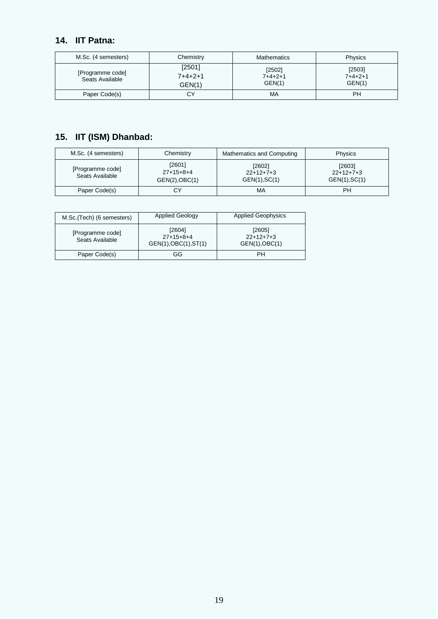## **14. IIT Patna:**

| M.Sc. (4 semesters)                 | Chemistry                   | <b>Mathematics</b>                  | Physics                       |
|-------------------------------------|-----------------------------|-------------------------------------|-------------------------------|
| [Programme code]<br>Seats Available | [2501]<br>7+4+2+1<br>GEN(1) | [2502]<br>$7 + 4 + 2 + 1$<br>GEN(1) | [2503]<br>$7+4+2+1$<br>GEN(1) |
| Paper Code(s)                       | СY                          | MA                                  | PH                            |

## **15. IIT (ISM) Dhanbad:**

| M.Sc. (4 semesters)                 | Chemistry                               | Mathematics and Computing              | <b>Physics</b>                         |
|-------------------------------------|-----------------------------------------|----------------------------------------|----------------------------------------|
| [Programme code]<br>Seats Available | [2601]<br>$27+15+8+4$<br>GEN(2), OBC(1) | [2602]<br>$22+12+7+3$<br>GEN(1), SC(1) | [2603]<br>$22+12+7+3$<br>GEN(1), SC(1) |
| Paper Code(s)                       | СY                                      | МA                                     | PH                                     |

| M.Sc. (Tech) (6 semesters)          | <b>Applied Geology</b>                         | <b>Applied Geophysics</b>               |
|-------------------------------------|------------------------------------------------|-----------------------------------------|
| [Programme code]<br>Seats Available | [2604]<br>$27+15+8+4$<br>GEN(1), OBC(1), ST(1) | [2605]<br>$22+12+7+3$<br>GEN(1), OBC(1) |
| Paper Code(s)                       | GG                                             | PH                                      |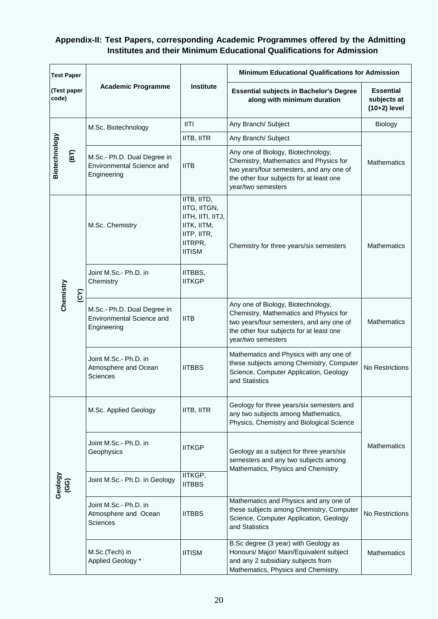### **Appendix-II: Test Papers, corresponding Academic Programmes offered by the Admitting Institutes and their Minimum Educational Qualifications for Admission**

| <b>Test Paper</b>               |                                                                         |                                                                                                            | <b>Minimum Educational Qualifications for Admission</b>                                                                                                                                    |                                                   |
|---------------------------------|-------------------------------------------------------------------------|------------------------------------------------------------------------------------------------------------|--------------------------------------------------------------------------------------------------------------------------------------------------------------------------------------------|---------------------------------------------------|
| (Test paper<br>code)            | <b>Academic Programme</b>                                               | <b>Institute</b>                                                                                           | <b>Essential subjects in Bachelor's Degree</b><br>along with minimum duration                                                                                                              | <b>Essential</b><br>subjects at<br>$(10+2)$ level |
|                                 | M.Sc. Biotechnology                                                     | III                                                                                                        | Any Branch/ Subject                                                                                                                                                                        | Biology                                           |
|                                 |                                                                         | IITB, IITR                                                                                                 | Any Branch/ Subject                                                                                                                                                                        |                                                   |
| Biotechnology<br>$\overline{F}$ | M.Sc.- Ph.D. Dual Degree in<br>Environmental Science and<br>Engineering | <b>IITB</b>                                                                                                | Any one of Biology, Biotechnology,<br>Chemistry, Mathematics and Physics for<br>two years/four semesters, and any one of<br>the other four subjects for at least one<br>year/two semesters | <b>Mathematics</b>                                |
|                                 | M.Sc. Chemistry                                                         | IITB, IITD,<br>IITG, IITGN,<br>IITH, IITI, IITJ,<br>IITK, IITM,<br>IITP, IITR,<br>IITRPR,<br><b>IITISM</b> | Chemistry for three years/six semesters                                                                                                                                                    | <b>Mathematics</b>                                |
|                                 | Joint M.Sc.- Ph.D. in<br>Chemistry                                      | IITBBS,<br><b>IITKGP</b>                                                                                   |                                                                                                                                                                                            |                                                   |
| Chemistry<br>(25)               | M.Sc.- Ph.D. Dual Degree in<br>Environmental Science and<br>Engineering | <b>IITB</b>                                                                                                | Any one of Biology, Biotechnology,<br>Chemistry, Mathematics and Physics for<br>two years/four semesters, and any one of<br>the other four subjects for at least one<br>year/two semesters | <b>Mathematics</b>                                |
|                                 | Joint M.Sc.- Ph.D. in<br>Atmosphere and Ocean<br>Sciences               | <b>IITBBS</b>                                                                                              | Mathematics and Physics with any one of<br>these subjects among Chemistry, Computer<br>Science, Computer Application, Geology<br>and Statistics                                            | No Restrictions                                   |
|                                 | M.Sc. Applied Geology                                                   | IITB, IITR                                                                                                 | Geology for three years/six semesters and<br>any two subjects among Mathematics,<br>Physics, Chemistry and Biological Science                                                              |                                                   |
|                                 | Joint M.Sc.- Ph.D. in<br>Geophysics                                     | <b>IITKGP</b>                                                                                              | Geology as a subject for three years/six<br>semesters and any two subjects among<br>Mathematics, Physics and Chemistry                                                                     | <b>Mathematics</b>                                |
| Geology<br>(GG)                 | Joint M.Sc.- Ph.D. in Geology                                           | IITKGP,<br><b>IITBBS</b>                                                                                   |                                                                                                                                                                                            |                                                   |
|                                 | Joint M.Sc.- Ph.D. in<br>Atmosphere and Ocean<br>Sciences               | <b>IITBBS</b>                                                                                              | Mathematics and Physics and any one of<br>these subjects among Chemistry, Computer<br>Science, Computer Application, Geology<br>and Statistics                                             | No Restrictions                                   |
|                                 | M.Sc.(Tech) in<br>Applied Geology *                                     | <b>IITISM</b>                                                                                              | B.Sc degree (3 year) with Geology as<br>Honours/ Major/ Main/Equivalent subject<br>and any 2 subsidiary subjects from<br>Mathematics, Physics and Chemistry.                               | <b>Mathematics</b>                                |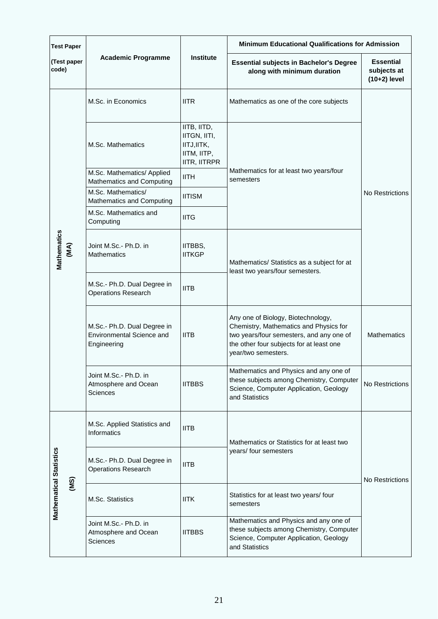| <b>Test Paper</b>                      | <b>Academic Programme</b>                                               | <b>Institute</b>                                                                 | <b>Minimum Educational Qualifications for Admission</b>                                                                                                                                     |                                                   |  |
|----------------------------------------|-------------------------------------------------------------------------|----------------------------------------------------------------------------------|---------------------------------------------------------------------------------------------------------------------------------------------------------------------------------------------|---------------------------------------------------|--|
| (Test paper<br>code)                   |                                                                         |                                                                                  | <b>Essential subjects in Bachelor's Degree</b><br>along with minimum duration                                                                                                               | <b>Essential</b><br>subjects at<br>$(10+2)$ level |  |
|                                        | M.Sc. in Economics                                                      | <b>IITR</b>                                                                      | Mathematics as one of the core subjects                                                                                                                                                     |                                                   |  |
|                                        | M.Sc. Mathematics                                                       | IITB, IITD,<br>IITGN, IITI,<br>IITJ, IITK,<br>IITM, IITP,<br><b>IITR, IITRPR</b> |                                                                                                                                                                                             | No Restrictions                                   |  |
|                                        | M.Sc. Mathematics/ Applied<br>Mathematics and Computing                 | <b>IITH</b>                                                                      | Mathematics for at least two years/four<br>semesters                                                                                                                                        |                                                   |  |
|                                        | M.Sc. Mathematics/<br>Mathematics and Computing                         | <b>IITISM</b>                                                                    |                                                                                                                                                                                             |                                                   |  |
| Mathematics<br>(MA)                    | M.Sc. Mathematics and<br>Computing                                      | <b>IITG</b>                                                                      |                                                                                                                                                                                             |                                                   |  |
|                                        | Joint M.Sc.- Ph.D. in<br><b>Mathematics</b>                             | IITBBS,<br><b>IITKGP</b>                                                         | Mathematics/ Statistics as a subject for at<br>least two years/four semesters.                                                                                                              |                                                   |  |
|                                        | M.Sc.- Ph.D. Dual Degree in<br><b>Operations Research</b>               | <b>IITB</b>                                                                      |                                                                                                                                                                                             |                                                   |  |
|                                        | M.Sc.- Ph.D. Dual Degree in<br>Environmental Science and<br>Engineering | <b>IITB</b>                                                                      | Any one of Biology, Biotechnology,<br>Chemistry, Mathematics and Physics for<br>two years/four semesters, and any one of<br>the other four subjects for at least one<br>year/two semesters. | <b>Mathematics</b>                                |  |
|                                        | Joint M.Sc.- Ph.D. in<br>Atmosphere and Ocean<br>Sciences               | <b>IITBBS</b>                                                                    | Mathematics and Physics and any one of<br>these subjects among Chemistry, Computer<br>Science, Computer Application, Geology<br>and Statistics                                              | No Restrictions                                   |  |
| <b>Mathematical Statistics</b><br>(MS) | M.Sc. Applied Statistics and<br>Informatics                             | <b>IITB</b>                                                                      | Mathematics or Statistics for at least two                                                                                                                                                  | No Restrictions                                   |  |
|                                        | M.Sc.- Ph.D. Dual Degree in<br><b>Operations Research</b>               | <b>IITB</b>                                                                      | years/ four semesters                                                                                                                                                                       |                                                   |  |
|                                        | M.Sc. Statistics                                                        | <b>IITK</b>                                                                      | Statistics for at least two years/ four<br>semesters                                                                                                                                        |                                                   |  |
|                                        | Joint M.Sc.- Ph.D. in<br>Atmosphere and Ocean<br><b>Sciences</b>        | <b>IITBBS</b>                                                                    | Mathematics and Physics and any one of<br>these subjects among Chemistry, Computer<br>Science, Computer Application, Geology<br>and Statistics                                              |                                                   |  |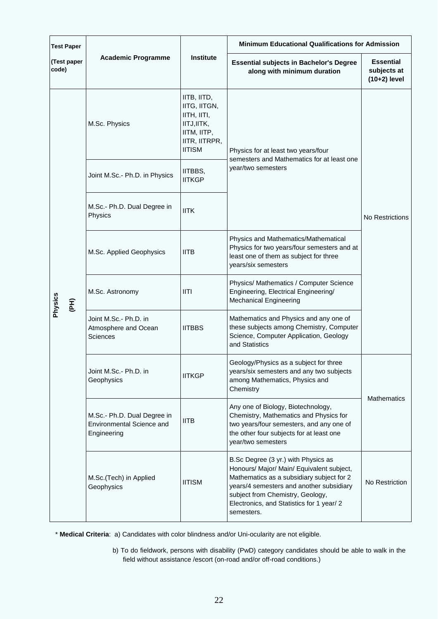| <b>Test Paper</b><br>(Test paper<br>code) | <b>Academic Programme</b>                                               | <b>Institute</b>                                                                                           | <b>Minimum Educational Qualifications for Admission</b>                                                                                                                                                                                                                  |                                                   |  |
|-------------------------------------------|-------------------------------------------------------------------------|------------------------------------------------------------------------------------------------------------|--------------------------------------------------------------------------------------------------------------------------------------------------------------------------------------------------------------------------------------------------------------------------|---------------------------------------------------|--|
|                                           |                                                                         |                                                                                                            | <b>Essential subjects in Bachelor's Degree</b><br>along with minimum duration                                                                                                                                                                                            | <b>Essential</b><br>subjects at<br>$(10+2)$ level |  |
| Physics<br>(PH)                           | M.Sc. Physics                                                           | IITB, IITD,<br>IITG, IITGN,<br>IITH, IITI,<br>IITJ, IITK,<br>IITM, IITP,<br>IITR, IITRPR,<br><b>IITISM</b> | Physics for at least two years/four<br>semesters and Mathematics for at least one                                                                                                                                                                                        | No Restrictions                                   |  |
|                                           | Joint M.Sc.- Ph.D. in Physics                                           | IITBBS,<br><b>IITKGP</b>                                                                                   | year/two semesters                                                                                                                                                                                                                                                       |                                                   |  |
|                                           | M.Sc.- Ph.D. Dual Degree in<br>Physics                                  | <b>IITK</b>                                                                                                |                                                                                                                                                                                                                                                                          |                                                   |  |
|                                           | M.Sc. Applied Geophysics                                                | <b>IITB</b>                                                                                                | Physics and Mathematics/Mathematical<br>Physics for two years/four semesters and at<br>least one of them as subject for three<br>years/six semesters                                                                                                                     |                                                   |  |
|                                           | M.Sc. Astronomy                                                         | III                                                                                                        | Physics/ Mathematics / Computer Science<br>Engineering, Electrical Engineering/<br><b>Mechanical Engineering</b>                                                                                                                                                         |                                                   |  |
|                                           | Joint M.Sc.- Ph.D. in<br>Atmosphere and Ocean<br>Sciences               | <b>IITBBS</b>                                                                                              | Mathematics and Physics and any one of<br>these subjects among Chemistry, Computer<br>Science, Computer Application, Geology<br>and Statistics                                                                                                                           |                                                   |  |
|                                           | Joint M.Sc.- Ph.D. in<br>Geophysics                                     | <b>IITKGP</b>                                                                                              | Geology/Physics as a subject for three<br>years/six semesters and any two subjects<br>among Mathematics, Physics and<br>Chemistry                                                                                                                                        |                                                   |  |
|                                           | M.Sc.- Ph.D. Dual Degree in<br>Environmental Science and<br>Engineering | <b>IITB</b>                                                                                                | Any one of Biology, Biotechnology,<br>Chemistry, Mathematics and Physics for<br>two years/four semesters, and any one of<br>the other four subjects for at least one<br>year/two semesters                                                                               | <b>Mathematics</b>                                |  |
|                                           | M.Sc.(Tech) in Applied<br>Geophysics                                    | <b>IITISM</b>                                                                                              | B.Sc Degree (3 yr.) with Physics as<br>Honours/ Major/ Main/ Equivalent subject,<br>Mathematics as a subsidiary subject for 2<br>years/4 semesters and another subsidiary<br>subject from Chemistry, Geology,<br>Electronics, and Statistics for 1 year/ 2<br>semesters. | No Restriction                                    |  |

\* **Medical Criteria**: a) Candidates with color blindness and/or Uni-ocularity are not eligible.

b) To do fieldwork, persons with disability (PwD) category candidates should be able to walk in the field without assistance /escort (on-road and/or off-road conditions.)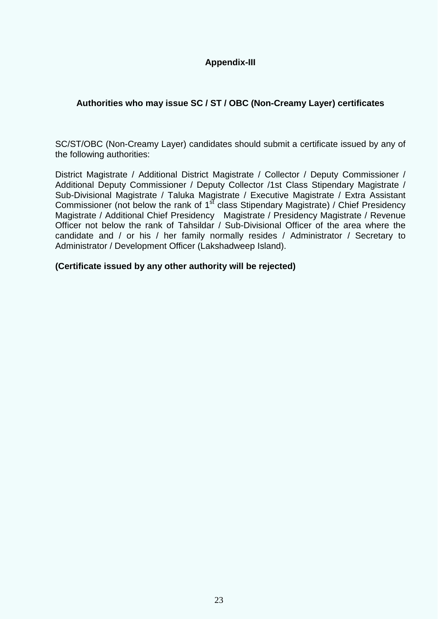## **Appendix-III**

## **Authorities who may issue SC / ST / OBC (Non-Creamy Layer) certificates**

SC/ST/OBC (Non-Creamy Layer) candidates should submit a certificate issued by any of the following authorities:

District Magistrate / Additional District Magistrate / Collector / Deputy Commissioner / Additional Deputy Commissioner / Deputy Collector /1st Class Stipendary Magistrate / Sub-Divisional Magistrate / Taluka Magistrate / Executive Magistrate / Extra Assistant Commissioner (not below the rank of 1<sup>st</sup> class Stipendary Magistrate) / Chief Presidency Magistrate / Additional Chief Presidency Magistrate / Presidency Magistrate / Revenue Officer not below the rank of Tahsildar / Sub-Divisional Officer of the area where the candidate and / or his / her family normally resides / Administrator / Secretary to Administrator / Development Officer (Lakshadweep Island).

**(Certificate issued by any other authority will be rejected)**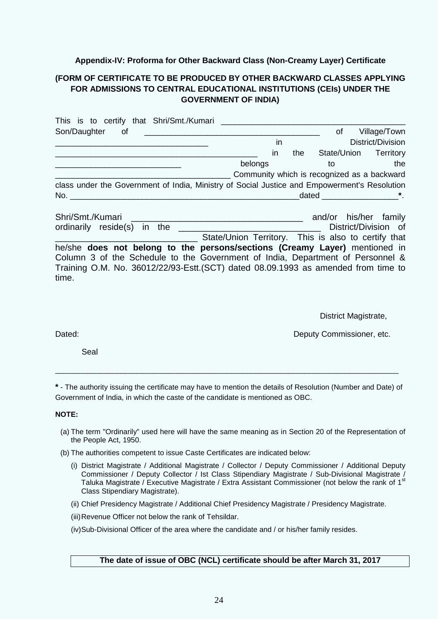#### **Appendix-IV: Proforma for Other Backward Class (Non-Creamy Layer) Certificate**

#### **(FORM OF CERTIFICATE TO BE PRODUCED BY OTHER BACKWARD CLASSES APPLYING FOR ADMISSIONS TO CENTRAL EDUCATIONAL INSTITUTIONS (CEIs) UNDER THE GOVERNMENT OF INDIA)**

| This is to certify that Shri/Smt./Kumari                                                     |                                                     |     |             |                       |
|----------------------------------------------------------------------------------------------|-----------------------------------------------------|-----|-------------|-----------------------|
| Son/Daughter<br>of                                                                           |                                                     |     | <b>of</b>   | Village/Town          |
|                                                                                              | <i>in</i>                                           |     |             | District/Division     |
|                                                                                              | in                                                  | the | State/Union | Territory             |
|                                                                                              | belongs                                             | to  |             | the                   |
|                                                                                              | Community which is recognized as a backward         |     |             |                       |
| class under the Government of India, Ministry of Social Justice and Empowerment's Resolution |                                                     |     |             |                       |
| No.                                                                                          |                                                     |     |             | dated *.              |
| Shri/Smt./Kumari                                                                             |                                                     |     |             | and/or his/her family |
| ordinarily reside(s) in the                                                                  |                                                     |     |             | District/Division of  |
|                                                                                              | State/Union Territory. This is also to certify that |     |             |                       |
| he/she does not belong to the persons/sections (Creamy Layer) mentioned in                   |                                                     |     |             |                       |
| Column 3 of the Schedule to the Government of India, Department of Personnel &               |                                                     |     |             |                       |
| Training O.M. No. 36012/22/93-Estt. (SCT) dated 08.09.1993 as amended from time to<br>time.  |                                                     |     |             |                       |

District Magistrate,

Dated: **Dated: Deputy Commissioner, etc. Deputy Commissioner, etc.** 

Seal

**\*** - The authority issuing the certificate may have to mention the details of Resolution (Number and Date) of Government of India, in which the caste of the candidate is mentioned as OBC.

\_\_\_\_\_\_\_\_\_\_\_\_\_\_\_\_\_\_\_\_\_\_\_\_\_\_\_\_\_\_\_\_\_\_\_\_\_\_\_\_\_\_\_\_\_\_\_\_\_\_\_\_\_\_\_\_\_\_\_\_\_\_\_\_\_\_\_\_\_\_\_\_\_\_\_\_\_\_\_\_\_\_\_\_

#### **NOTE:**

- (a) The term "Ordinarily" used here will have the same meaning as in Section 20 of the Representation of the People Act, 1950.
- (b) The authorities competent to issue Caste Certificates are indicated below:
	- (i) District Magistrate / Additional Magistrate / Collector / Deputy Commissioner / Additional Deputy Commissioner / Deputy Collector / Ist Class Stipendiary Magistrate / Sub-Divisional Magistrate / Taluka Magistrate / Executive Magistrate / Extra Assistant Commissioner (not below the rank of 1<sup>st</sup> Class Stipendiary Magistrate).
	- (ii) Chief Presidency Magistrate / Additional Chief Presidency Magistrate / Presidency Magistrate.
	- (iii)Revenue Officer not below the rank of Tehsildar.

(iv)Sub-Divisional Officer of the area where the candidate and / or his/her family resides.

#### **The date of issue of OBC (NCL) certificate should be after March 31, 2017**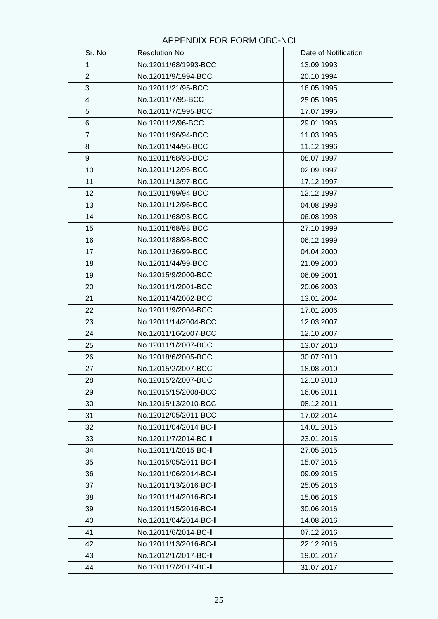## APPENDIX FOR FORM OBC-NCL

| Sr. No         | Resolution No.         | Date of Notification |
|----------------|------------------------|----------------------|
| 1              | No.12011/68/1993-BCC   | 13.09.1993           |
| $\overline{2}$ | No.12011/9/1994-BCC    | 20.10.1994           |
| 3              | No.12011/21/95-BCC     | 16.05.1995           |
| 4              | No.12011/7/95-BCC      | 25.05.1995           |
| 5              | No.12011/7/1995-BCC    | 17.07.1995           |
| 6              | No.12011/2/96-BCC      | 29.01.1996           |
| $\overline{7}$ | No.12011/96/94-BCC     | 11.03.1996           |
| 8              | No.12011/44/96-BCC     | 11.12.1996           |
| 9              | No.12011/68/93-BCC     | 08.07.1997           |
| 10             | No.12011/12/96-BCC     | 02.09.1997           |
| 11             | No.12011/13/97-BCC     | 17.12.1997           |
| 12             | No.12011/99/94-BCC     | 12.12.1997           |
| 13             | No.12011/12/96-BCC     | 04.08.1998           |
| 14             | No.12011/68/93-BCC     | 06.08.1998           |
| 15             | No.12011/68/98-BCC     | 27.10.1999           |
| 16             | No.12011/88/98-BCC     | 06.12.1999           |
| 17             | No.12011/36/99-BCC     | 04.04.2000           |
| 18             | No.12011/44/99-BCC     | 21.09.2000           |
| 19             | No.12015/9/2000-BCC    | 06.09.2001           |
| 20             | No.12011/1/2001-BCC    | 20.06.2003           |
| 21             | No.12011/4/2002-BCC    | 13.01.2004           |
| 22             | No.12011/9/2004-BCC    | 17.01.2006           |
| 23             | No.12011/14/2004-BCC   | 12.03.2007           |
| 24             | No.12011/16/2007-BCC   | 12.10.2007           |
| 25             | No.12011/1/2007-BCC    | 13.07.2010           |
| 26             | No.12018/6/2005-BCC    | 30.07.2010           |
| 27             | No.12015/2/2007-BCC    | 18.08.2010           |
| 28             | No.12015/2/2007-BCC    | 12.10.2010           |
| 29             | No.12015/15/2008-BCC   | 16.06.2011           |
| 30             | No.12015/13/2010-BCC   | 08.12.2011           |
| 31             | No.12012/05/2011-BCC   | 17.02.2014           |
| 32             | No.12011/04/2014-BC-II | 14.01.2015           |
| 33             | No.12011/7/2014-BC-II  | 23.01.2015           |
| 34             | No.12011/1/2015-BC-II  | 27.05.2015           |
| 35             | No.12015/05/2011-BC-II | 15.07.2015           |
| 36             | No.12011/06/2014-BC-II | 09.09.2015           |
| 37             | No.12011/13/2016-BC-II | 25.05.2016           |
| 38             | No.12011/14/2016-BC-II | 15.06.2016           |
| 39             | No.12011/15/2016-BC-II | 30.06.2016           |
| 40             | No.12011/04/2014-BC-II | 14.08.2016           |
| 41             | No.12011/6/2014-BC-II  | 07.12.2016           |
| 42             | No.12011/13/2016-BC-II | 22.12.2016           |
| 43             | No.12012/1/2017-BC-II  | 19.01.2017           |
| 44             | No.12011/7/2017-BC-II  | 31.07.2017           |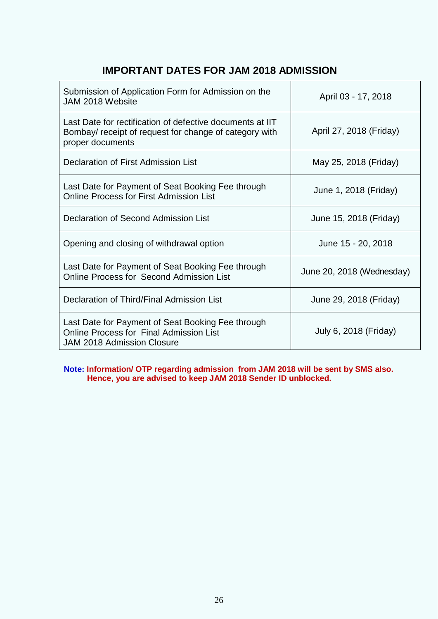## **IMPORTANT DATES FOR JAM 2018 ADMISSION**

| Submission of Application Form for Admission on the<br>JAM 2018 Website                                                                  | April 03 - 17, 2018       |
|------------------------------------------------------------------------------------------------------------------------------------------|---------------------------|
| Last Date for rectification of defective documents at IIT<br>Bombay/ receipt of request for change of category with<br>proper documents  | April 27, 2018 (Friday)   |
| Declaration of First Admission List                                                                                                      | May 25, 2018 (Friday)     |
| Last Date for Payment of Seat Booking Fee through<br><b>Online Process for First Admission List</b>                                      | June 1, 2018 (Friday)     |
| Declaration of Second Admission List                                                                                                     | June 15, 2018 (Friday)    |
| Opening and closing of withdrawal option                                                                                                 | June 15 - 20, 2018        |
| Last Date for Payment of Seat Booking Fee through<br><b>Online Process for Second Admission List</b>                                     | June 20, 2018 (Wednesday) |
| Declaration of Third/Final Admission List                                                                                                | June 29, 2018 (Friday)    |
| Last Date for Payment of Seat Booking Fee through<br><b>Online Process for Final Admission List</b><br><b>JAM 2018 Admission Closure</b> | July 6, 2018 (Friday)     |

**Note: Information/ OTP regarding admission from JAM 2018 will be sent by SMS also. Hence, you are advised to keep JAM 2018 Sender ID unblocked.**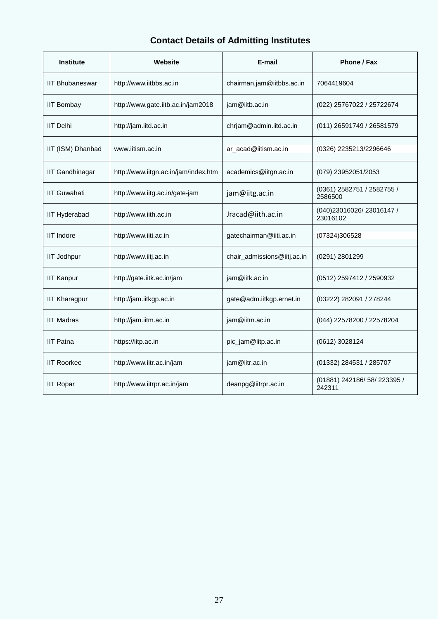## **Contact Details of Admitting Institutes**

| <b>Institute</b>       | Website                              | E-mail                      | Phone / Fax                            |
|------------------------|--------------------------------------|-----------------------------|----------------------------------------|
| <b>IIT Bhubaneswar</b> | http://www.iitbbs.ac.in              | chairman.jam@iitbbs.ac.in   | 7064419604                             |
| <b>IIT Bombay</b>      | http://www.gate.iitb.ac.in/jam2018   | jam@iitb.ac.in              | (022) 25767022 / 25722674              |
| <b>IIT Delhi</b>       | http://jam.iitd.ac.in                | chrjam@admin.iitd.ac.in     | (011) 26591749 / 26581579              |
| IIT (ISM) Dhanbad      | www.iitism.ac.in                     | ar_acad@iitism.ac.in        | (0326) 2235213/2296646                 |
| <b>IIT Gandhinagar</b> | http://www.iitgn.ac.in/jam/index.htm | academics@iitgn.ac.in       | (079) 23952051/2053                    |
| <b>IIT Guwahati</b>    | http://www.iitg.ac.in/gate-jam       | jam@iitg.ac.in              | (0361) 2582751 / 2582755 /<br>2586500  |
| <b>IIT Hyderabad</b>   | http://www.iith.ac.in                | Jracad@iith.ac.in           | (040)23016026/23016147 /<br>23016102   |
| <b>IIT Indore</b>      | http://www.iiti.ac.in                | gatechairman@iiti.ac.in     | (07324)306528                          |
| <b>IIT Jodhpur</b>     | http://www.iitj.ac.in                | chair_admissions@iitj.ac.in | (0291) 2801299                         |
| <b>IIT Kanpur</b>      | http://gate.iitk.ac.in/jam           | jam@iitk.ac.in              | (0512) 2597412 / 2590932               |
| <b>IIT Kharagpur</b>   | http://jam.iitkgp.ac.in              | gate@adm.iitkgp.ernet.in    | (03222) 282091 / 278244                |
| <b>IIT Madras</b>      | http://jam.iitm.ac.in                | jam@iitm.ac.in              | (044) 22578200 / 22578204              |
| <b>IIT Patna</b>       | https://iitp.ac.in                   | pic_jam@iitp.ac.in          | (0612) 3028124                         |
| <b>IIT Roorkee</b>     | http://www.iitr.ac.in/jam            | jam@iitr.ac.in              | (01332) 284531 / 285707                |
| <b>IIT Ropar</b>       | http://www.iitrpr.ac.in/jam          | deanpg@iitrpr.ac.in         | (01881) 242186/ 58/ 223395 /<br>242311 |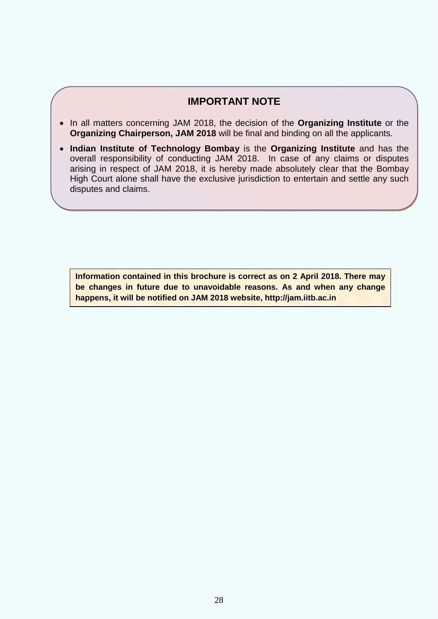## **IMPORTANT NOTE**

- In all matters concerning JAM 2018, the decision of the **Organizing Institute** or the **Organizing Chairperson, JAM 2018** will be final and binding on all the applicants.
- **Indian Institute of Technology Bombay** is the **Organizing Institute** and has the overall responsibility of conducting JAM 2018. In case of any claims or disputes arising in respect of JAM 2018, it is hereby made absolutely clear that the Bombay High Court alone shall have the exclusive jurisdiction to entertain and settle any such disputes and claims.

**Information contained in this brochure is correct as on 2 April 2018. There may be changes in future due to unavoidable reasons. As and when any change happens, it will be notified on JAM 2018 website, http://jam.iitb.ac.in**